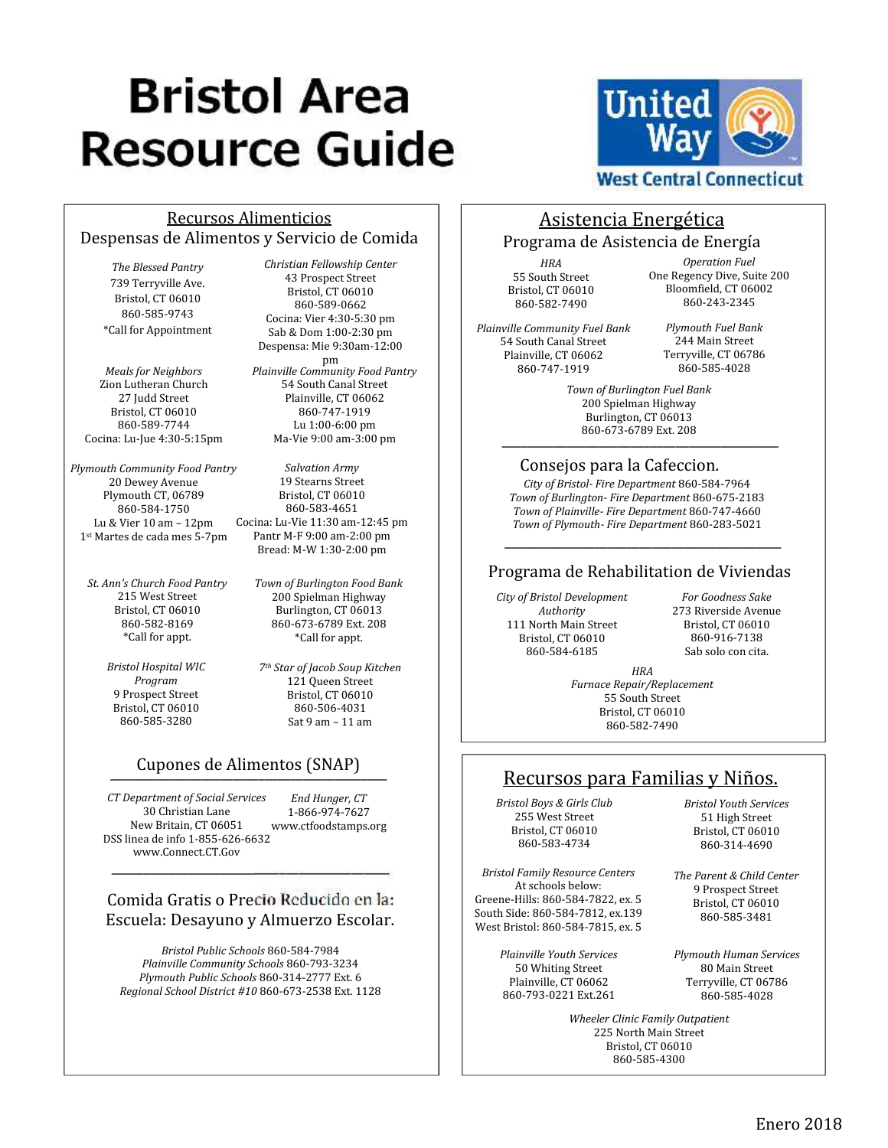# **Bristol Area Resource Guide**



#### Recursos Alimenticios Despensas de Alimentos y Servicio de Comida

*The Blessed Pantry* 739 Terryville Ave. Bristol, CT 06010 860-585-9743 \*Call for Appointment

*Meals for Neighbors* Zion Lutheran Church 27 Judd Street Bristol, CT 06010 860-589-7744 Cocina: Lu-Jue 4:30-5:15pm

*Plymouth Community Food Pantry* 20 Dewey Avenue Plymouth CT, 06789 860-584-1750 Lu & Vier 10 am – 12pm 1st Martes de cada mes 5-7pm

*St. Ann's Church Food Pantry* 215 West Street Bristol, CT 06010 860-582-8169 \*Call for appt.

> *Bristol Hospital WIC Program* 9 Prospect Street Bristol, CT 06010 860-585-3280

*Christian Fellowship Center* 43 Prospect Street Bristol, CT 06010 860-589-0662 Cocina: Vier 4:30-5:30 pm Sab & Dom 1:00-2:30 pm Despensa: Mie 9:30am-12:00

pm *Plainville Community Food Pantry* 54 South Canal Street Plainville, CT 06062 860-747-1919 Lu 1:00-6:00 pm Ma-Vie 9:00 am-3:00 pm

*Salvation Army* 19 Stearns Street Bristol, CT 06010 860-583-4651 Cocina: Lu-Vie 11:30 am-12:45 pm Pantr M-F 9:00 am-2:00 pm Bread: M-W 1:30-2:00 pm

> *Town of Burlington Food Bank* 200 Spielman Highway Burlington, CT 06013 860-673-6789 Ext. 208 \*Call for appt.

*7th Star of Jacob Soup Kitchen* 121 Queen Street Bristol, CT 06010 860-506-4031 Sat 9 am – 11 am

# \_\_\_\_\_\_\_\_\_\_\_\_\_\_\_\_\_\_\_\_\_\_\_\_\_\_\_\_\_\_\_\_\_\_\_\_\_\_\_\_\_\_\_ Cupones de Alimentos (SNAP)

*End Hunger, CT* 1-866-974-7627 www.ctfoodstamps.org *CT Department of Social Services* 30 Christian Lane New Britain, CT 06051 DSS linea de info 1-855-626-6632 www.Connect.CT.Gov

## Comida Gratis o Precio Reducido en la: Escuela: Desayuno y Almuerzo Escolar.

\_\_\_\_\_\_\_\_\_\_\_\_\_\_\_\_\_\_\_\_\_\_\_\_\_\_\_\_\_\_\_\_\_\_\_\_\_\_\_\_\_\_\_

*Bristol Public Schools* 860-584-7984 *Plainville Community Schools* 860-793-3234 *Plymouth Public Schools* 860-314-2777 Ext. 6 *Regional School District #10* 860-673-2538 Ext. 1128 Programa de Asistencia de Energía *HRA* 55 South Street Bristol, CT 06010 860-582-7490

*Plainville Community Fuel Bank* 54 South Canal Street Plainville, CT 06062 860-747-1919

*Operation Fuel* One Regency Dive, Suite 200 Bloomfield, CT 06002 860-243-2345

*Plymouth Fuel Bank* 244 Main Street Terryville, CT 06786 860-585-4028

*Town of Burlington Fuel Bank* 200 Spielman Highway Burlington, CT 06013 860-673-6789 Ext. 208 \_\_\_\_\_\_\_\_\_\_\_\_\_\_\_\_\_\_\_\_\_\_\_\_\_\_\_\_\_\_\_\_\_\_\_\_\_\_\_\_\_\_\_

Asistencia Energética

#### Consejos para la Cafeccion.

*City of Bristol- Fire Department* 860-584-7964 *Town of Burlington- Fire Department* 860-675-2183 *Town of Plainville- Fire Department* 860-747-4660 *Town of Plymouth- Fire Department* 860-283-5021

#### Programa de Rehabilitation de Viviendas

\_\_\_\_\_\_\_\_\_\_\_\_\_\_\_\_\_\_\_\_\_\_\_\_\_\_\_\_\_\_\_\_\_\_\_\_\_\_\_\_\_\_\_

*City of Bristol Development Authority* 111 North Main Street Bristol, CT 06010 860-584-6185

*For Goodness Sake* 273 Riverside Avenue Bristol, CT 06010 860-916-7138 Sab solo con cita.

*HRA Furnace Repair/Replacement* 55 South Street Bristol, CT 06010 860-582-7490

## Recursos para Familias y Niños.

*Bristol Boys & Girls Club* 255 West Street Bristol, CT 06010 860-583-4734

*Bristol Family Resource Centers* At schools below: Greene-Hills: 860-584-7822, ex. 5 South Side: 860-584-7812, ex.139 West Bristol: 860-584-7815, ex. 5

> *Plainville Youth Services* 50 Whiting Street Plainville, CT 06062 860-793-0221 Ext.261

*Bristol Youth Services* 51 High Street Bristol, CT 06010 860-314-4690

*The Parent & Child Center* 9 Prospect Street Bristol, CT 06010 860-585-3481

*Plymouth Human Services* 80 Main Street Terryville, CT 06786 860-585-4028

*Wheeler Clinic Family Outpatient* 225 North Main Street Bristol, CT 06010 860-585-4300